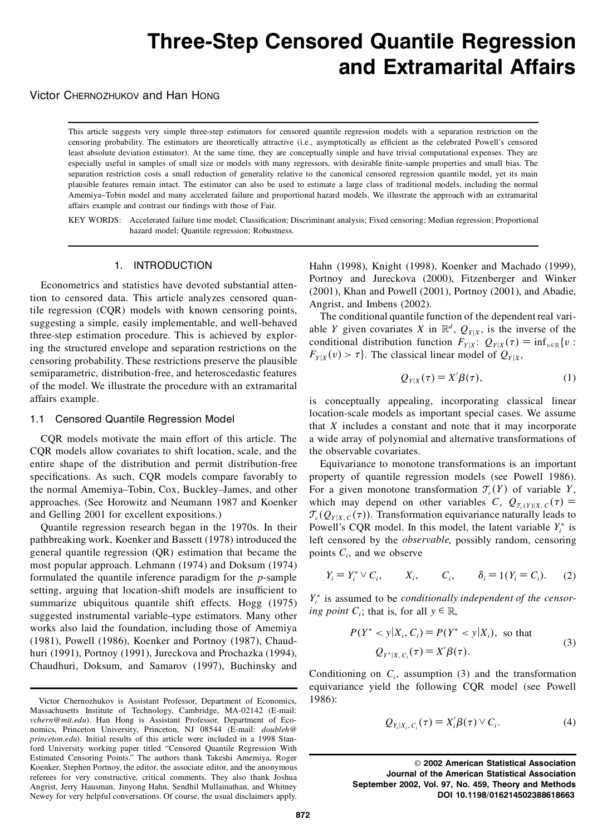# **Three-Step Censored Quantile Regression and Extramarital Affairs**

# Victor Chernozhukov and Han Hong

This article suggests very simple three-step estimators for censored quantile regression models with a separation restriction on the censoring probability. The estimators are theoretically attractive (i.e., asymptotically as efficient as the celebrated Powell's censored least absolute deviation estimator). At the same time, they are conceptually simple and have trivial computational expenses. They are especially useful in samples of small size or models with many regressors, with desirable nite-sample properties and small bias. The separation restriction costs a small reduction of generality relative to the canonical censored regression quantile model, yet its main plausible features remain intact. The estimator can also be used to estimate a large class of traditional models, including the normal Amemiya–Tobin model and many accelerated failure and proportional hazard models. We illustrate the approach with an extramarital affairs example and contrast our findings with those of Fair.

KEY WORDS: Accelerated failure time model; Classification; Discriminant analysis; Fixed censoring; Median regression; Proportional hazard model; Quantile regression; Robustness.

# 1. INTRODUCTION

Econometrics and statistics have devoted substantial attention to censored data. This article analyzes censored quantile regression (CQR) models with known censoring points, suggesting a simple, easily implementable, and well-behaved three-step estimation procedure. This is achieved by exploring the structured envelope and separation restrictions on the censoring probability. These restrictions preserve the plausible semiparametric, distribution-free, and heteroscedastic features of the model. We illustrate the procedure with an extramarital affairs example.

## 1.1 Censored Quantile Regression Model

CQR models motivate the main effort of this article. The CQR models allow covariates to shift location, scale, and the entire shape of the distribution and permit distribution-free specifications. As such, CQR models compare favorably to the normal Amemiya–Tobin, Cox, Buckley–James, and other approaches. (See Horowitz and Neumann 1987 and Koenker and Gelling 2001 for excellent expositions.)

Quantile regression research began in the 1970s. In their pathbreaking work, Koenker and Bassett (1978) introduced the general quantile regression (QR) estimation that became the most popular approach. Lehmann (1974) and Doksum (1974) formulated the quantile inference paradigm for the *p*-sample setting, arguing that location-shift models are insufficient to summarize ubiquitous quantile shift effects. Hogg (1975) suggested instrumental variable–type estimators. Many other works also laid the foundation, including those of Amemiya (1981), Powell (1986), Koenker and Portnoy (1987), Chaudhuri (1991), Portnoy (1991), Jureckova and Prochazka (1994), Chaudhuri, Doksum, and Samarov (1997), Buchinsky and

Hahn (1998), Knight (1998), Koenker and Machado (1999), Portnoy and Jureckova (2000), Fitzenberger and Winker (2001), Khan and Powell (2001), Portnoy (2001), and Abadie, Angrist, and Imbens (2002).

The conditional quantile function of the dependent real variable *Y* given covariates *X* in  $\mathbb{R}^d$ ,  $Q_{Y|X}$ , is the inverse of the conditional distribution function  $F_{Y|X}$ :  $Q_{Y|X}(\tau) = \inf_{v \in \mathbb{R}} \{v :$  $F_{Y|X}(v) > \tau$ . The classical linear model of  $Q_{Y|X}$ ,

$$
Q_{Y|X}(\tau) = X'\beta(\tau),\tag{1}
$$

is conceptually appealing, incorporating classical linear location-scale models as important special cases. We assume that *X* includes a constant and note that it may incorporate a wide array of polynomial and alternative transformations of the observable covariates.

Equivariance to monotone transformations is an important property of quantile regression models (see Powell 1986). For a given monotone transformation  $\mathcal{T}_c(Y)$  of variable *Y*, which may depend on other variables *C*,  $Q_{\tau_c(Y)|X, C}(\tau) =$  $\mathcal{T}_c(Q_{Y|X,C}(\tau))$ . Transformation equivariance naturally leads to Powell's CQR model. In this model, the latent variable  $Y_i^*$  is left censored by the *observable*, possibly random, censoring points  $C_i$ , and we observe

$$
Y_i = Y_i^* \vee C_i
$$
,  $X_i$ ,  $C_i$ ,  $\delta_i = 1(Y_i = C_i)$ . (2)

 $Y_i^*$  is assumed to be *conditionally independent of the censoring point*  $C_i$ ; that is, for all  $y \in \mathbb{R}$ ,

$$
P(Y^* < y | X_i, C_i) = P(Y^* < y | X_i), \text{ so that}
$$
\n
$$
Q_{Y^*|X, C_i}(\tau) = X' \beta(\tau). \tag{3}
$$

Conditioning on  $C_i$ , assumption (3) and the transformation equivariance yield the following CQR model (see Powell 1986):

$$
Q_{Y_i|X_i, C_i}(\tau) = X_i'\beta(\tau) \vee C_i.
$$
 (4)

© **2002 American Statistical Association Journal of the American Statistical Association September 2002, Vol. 97, No. 459, Theory and Methods DOI 10.1198/016214502388618663**

Victor Chernozhukov is Assistant Professor, Department of Economics, Massachusetts Institute of Technology, Cambridge, MA-02142 (E-mail: *vchern@mit.edu*). Han Hong is Assistant Professor, Department of Economics, Princeton University, Princeton, NJ 08544 (E-mail: *doubleh@ princeton.edu*). Initial results of this article were included in a 1998 Stanford University working paper titled "Censored Quantile Regression With Estimated Censoring Points." The authors thank Takeshi Amemiya, Roger Koenker, Stephen Portnoy, the editor, the associate editor, and the anonymous referees for very constructive, critical comments. They also thank Joshua Angrist, Jerry Hausman, Jinyong Hahn, Sendhil Mullainathan, and Whitney Newey for very helpful conversations. Of course, the usual disclaimers apply.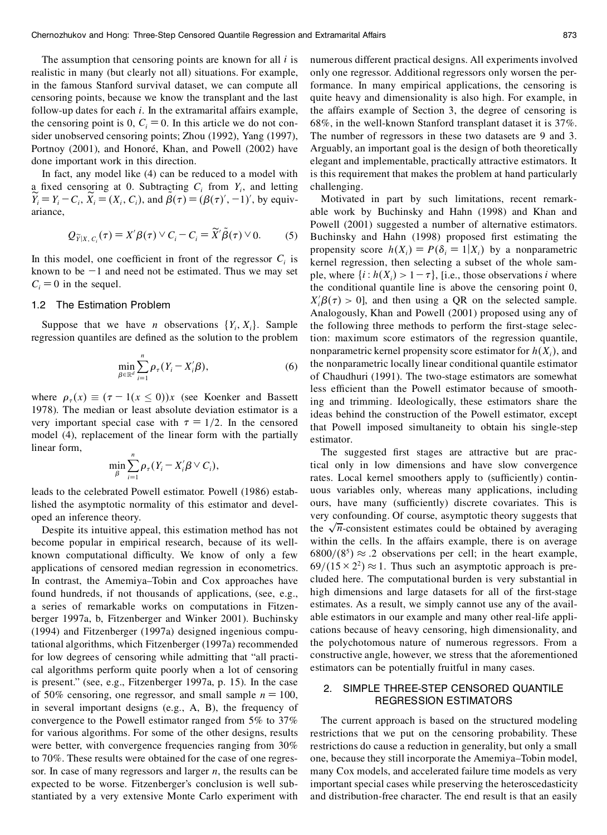The assumption that censoring points are known for all *i* is realistic in many (but clearly not all) situations. For example, in the famous Stanford survival dataset, we can compute all censoring points, because we know the transplant and the last follow-up dates for each *i*. In the extramarital affairs example, the censoring point is 0,  $C_i = 0$ . In this article we do not consider unobserved censoring points; Zhou (1992), Yang (1997), Portnoy (2001), and Honoré, Khan, and Powell (2002) have done important work in this direction.

In fact, any model like (4) can be reduced to a model with a fixed censoring at 0. Subtracting  $C_i$  from  $Y_i$ , and letting  $\hat{Y}_i = Y_i - C_i$ ,  $\hat{X}_i = (X_i, C_i)$ , and  $\beta(\tau) = (\beta(\tau)', -1)'$ , by equivariance,

$$
Q_{\widetilde{Y}|X,\,C_i}(\tau) = X'\beta(\tau) \vee C_i - C_i = \widetilde{X}'\beta(\tau) \vee 0. \tag{5}
$$

In this model, one coefficient in front of the regressor  $C_i$  is known to be  $-1$  and need not be estimated. Thus we may set  $C_i = 0$  in the sequel.

# 1.2 The Estimation Problem

Suppose that we have *n* observations  $\{Y_i, X_i\}$ . Sample regression quantiles are defined as the solution to the problem

$$
\min_{\beta \in \mathbb{R}^d} \sum_{i=1}^n \rho_\tau (Y_i - X_i' \beta), \tag{6}
$$

where  $\rho_{\tau}(x) \equiv (\tau - 1(x \le 0))x$  (see Koenker and Bassett 1978). The median or least absolute deviation estimator is a very important special case with  $\tau = 1/2$ . In the censored model (4), replacement of the linear form with the partially linear form,

$$
\min_{\beta} \sum_{i=1}^n \rho_{\tau}(Y_i - X_i'\beta \vee C_i),
$$

leads to the celebrated Powell estimator. Powell (1986) established the asymptotic normality of this estimator and developed an inference theory.

Despite its intuitive appeal, this estimation method has not become popular in empirical research, because of its wellknown computational difficulty. We know of only a few applications of censored median regression in econometrics. In contrast, the Amemiya–Tobin and Cox approaches have found hundreds, if not thousands of applications, (see, e.g., a series of remarkable works on computations in Fitzenberger 1997a, b, Fitzenberger and Winker 2001). Buchinsky (1994) and Fitzenberger (1997a) designed ingenious computational algorithms, which Fitzenberger (1997a) recommended for low degrees of censoring while admitting that "all practical algorithms perform quite poorly when a lot of censoring is present." (see, e.g., Fitzenberger 1997a, p. 15). In the case of 50% censoring, one regressor, and small sample  $n = 100$ , in several important designs (e.g., A, B), the frequency of convergence to the Powell estimator ranged from  $5\%$  to  $37\%$ for various algorithms. For some of the other designs, results were better, with convergence frequencies ranging from 30% to 70%. These results were obtained for the case of one regressor. In case of many regressors and larger *n*, the results can be expected to be worse. Fitzenberger's conclusion is well substantiated by a very extensive Monte Carlo experiment with

numerous different practical designs. All experiments involved only one regressor. Additional regressors only worsen the performance. In many empirical applications, the censoring is quite heavy and dimensionality is also high. For example, in the affairs example of Section 3, the degree of censoring is 68%, in the well-known Stanford transplant dataset it is 37%. The number of regressors in these two datasets are 9 and 3. Arguably, an important goal is the design of both theoretically elegant and implementable, practically attractive estimators. It is this requirement that makes the problem at hand particularly challenging.

Motivated in part by such limitations, recent remarkable work by Buchinsky and Hahn (1998) and Khan and Powell (2001) suggested a number of alternative estimators. Buchinsky and Hahn (1998) proposed first estimating the propensity score  $h(X_i) = P(\delta_i = 1 | X_i)$  by a nonparametric kernel regression, then selecting a subset of the whole sample, where  $\{i : h(X_i) > 1 - \tau\}$ , [i.e., those observations *i* where the conditional quantile line is above the censoring point 0,  $X_i' \beta(\tau) > 0$ , and then using a QR on the selected sample. Analogously, Khan and Powell (2001) proposed using any of the following three methods to perform the first-stage selection: maximum score estimators of the regression quantile, nonparametric kernel propensity score estimator for  $h(X_i)$ , and the nonparametric locally linear conditional quantile estimator of Chaudhuri (1991). The two-stage estimators are somewhat less efficient than the Powell estimator because of smoothing and trimming. Ideologically, these estimators share the ideas behind the construction of the Powell estimator, except that Powell imposed simultaneity to obtain his single-step estimator.

The suggested first stages are attractive but are practical only in low dimensions and have slow convergence rates. Local kernel smoothers apply to (sufficiently) continuous variables only, whereas many applications, including ours, have many (sufficiently) discrete covariates. This is very confounding. Of course, asymptotic theory suggests that the  $\sqrt{n}$ -consistent estimates could be obtained by averaging within the cells. In the affairs example, there is on average  $6800/(8^5) \approx .2$  observations per cell; in the heart example,  $69/(15 \times 2^2) \approx 1$ . Thus such an asymptotic approach is precluded here. The computational burden is very substantial in high dimensions and large datasets for all of the first-stage estimates. As a result, we simply cannot use any of the available estimators in our example and many other real-life applications because of heavy censoring, high dimensionality, and the polychotomous nature of numerous regressors. From a constructive angle, however, we stress that the aforementioned estimators can be potentially fruitful in many cases.

# 2. SIMPLE THREE-STEP CENSORED QUANTILE REGRESSION ESTIMATORS

The current approach is based on the structured modeling restrictions that we put on the censoring probability. These restrictions do cause a reduction in generality, but only a small one, because they still incorporate the Amemiya–Tobin model, many Cox models, and accelerated failure time models as very important special cases while preserving the heteroscedasticity and distribution-free character. The end result is that an easily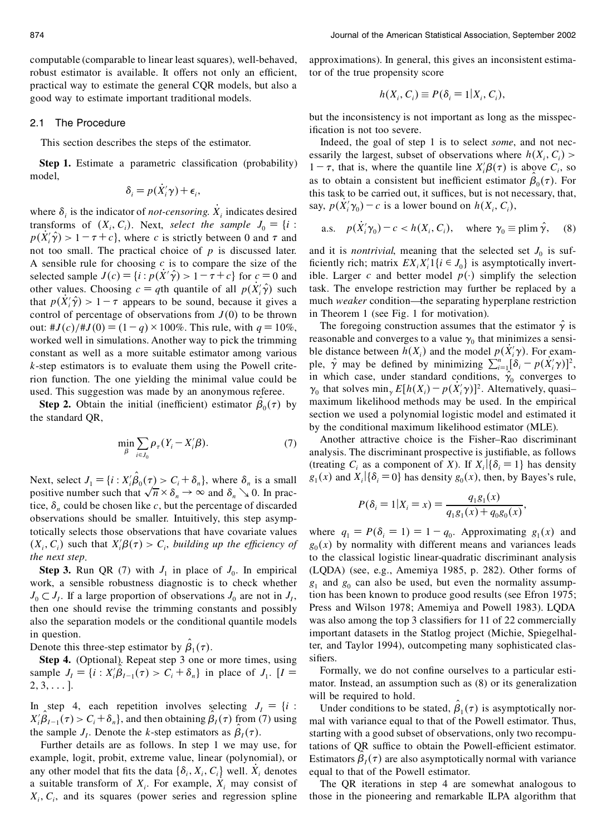computable (comparable to linear least squares), well-behaved, robust estimator is available. It offers not only an efficient, practical way to estimate the general CQR models, but also a good way to estimate important traditional models.

# 2.1 The Procedure

This section describes the steps of the estimator.

**Step 1.** Estimate a parametric classification (probability) model,

$$
\delta_i = p(X_i' \gamma) + \epsilon_i,
$$

where  $\delta_i$  is the indicator of *not-censoring*.  $X_i$  indicates desired transforms of  $(X_i, C_i)$ . Next, *select* the *sample*  $J_0 = \{i :$  $p(X_i' \hat{\gamma}) > 1 - \tau + c$ , where *c* is strictly between 0 and  $\tau$  and not too small. The practical choice of *p* is discussed later. A sensible rule for choosing *c* is to compare the size of the selected sample  $J(c) = \{i : p(X' \hat{y}) > 1 - \tau + c\}$  for  $c = 0$  and other values. Choosing  $c = q$ th quantile of all  $p(X_i' \hat{y})$  such to that  $p(X_i' \hat{y}) > 1 - \tau$  appears to be sound, because it gives a 1 control of percentage of observations from  $J(0)$  to be thrown out: # $J(c)/#J(0) = (1 - q) \times 100\%$ . This rule, with  $q = 10\%$ , worked well in simulations. Another way to pick the trimming constant as well as a more suitable estimator among various *k*-step estimators is to evaluate them using the Powell criterion function. The one yielding the minimal value could be used. This suggestion was made by an anonymous referee.

**Step 2.** Obtain the initial (inefficient) estimator  $\beta_0(\tau)$  by <sup>T</sup> the standard QR,

$$
\min_{\beta} \sum_{i \in J_0} \rho_{\tau} (Y_i - X_i' \beta). \tag{7}
$$

Next, select  $J_1 = \{i : X_i' \beta_0(\tau) > C_i + \delta_n \}$ , where  $\delta_n$  is a small positive number such that  $\sqrt{n} \times \delta_n \to \infty$  and  $\delta_n \searrow 0$ . In practice,  $\delta_n$  could be chosen like *c*, but the percentage of discarded observations should be smaller. Intuitively, this step asymptotically selects those observations that have covariate values  $(X_i, C_i)$  such that  $X_i' \beta(\tau) > C_i$ , *building up the efficiency of the next step*.

**Step 3.** Run QR (7) with  $J_1$  in place of  $J_0$ . In empirical work, a sensible robustness diagnostic is to check whether  $J_0 \subset J_1$ . If a large proportion of observations  $J_0$  are not in  $J_1$ , then one should revise the trimming constants and possibly also the separation models or the conditional quantile models in question.

Denote this three-step estimator by  $\beta_1(\tau)$ .

**Step 4.** (Optional). Repeat step 3 one or more times, using sample  $J_I = \{i : X_i' \beta_{I-1}(\tau) > C_i + \delta_n\}$  in place of  $J_1$ .  $[I = 1$  $2, 3, \ldots$  ].

In step 4, each repetition involves selecting  $J<sub>I</sub> = \{i :$  $X_i'\beta_{I-1}(\tau) > C_i + \delta_n$ , and then obtaining  $\beta_I(\tau)$  from (7) using n the sample  $J_I$ . Denote the *k*-step estimators as  $\beta_I(\tau)$ .

Further details are as follows. In step 1 we may use, for example, logit, probit, extreme value, linear (polynomial), or any other model that fits the data  $\{\delta_i, X_i, C_i\}$  well.  $X_i$  denotes a suitable transform of  $X_i$ . For example,  $X_i$  may consist of  $X_i, C_i$ , and its squares (power series and regression spline

approximations). In general, this gives an inconsistent estimator of the true propensity score

$$
h(X_i, C_i) \equiv P(\delta_i = 1 | X_i, C_i),
$$

but the inconsistency is not important as long as the misspecification is not too severe.

Indeed, the goal of step 1 is to select *some*, and not necessarily the largest, subset of observations where  $h(X_i, C_i)$  $1 - \tau$ , that is, where the quantile line  $X_i' \beta(\tau)$  is above  $C_i$ , so as to obtain a consistent but inefficient estimator  $\beta_0(\tau)$ . For this task to be carried out, it suffices, but is not necessary, that, say,  $p(X_i' \gamma_0) - c$  is a lower bound on  $h(X_i, C_i)$ ,

a.s. 
$$
p(X'_i\gamma_0) - c < h(X_i, C_i)
$$
, where  $\gamma_0 \equiv \text{plim } \hat{\gamma}$ , (8)

and it is *nontrivial*, meaning that the selected set  $J_0$  is sufficiently rich; matrix  $EX_iX_i'1\{i \in J_0\}$  is asymptotically invertible. Larger *c* and better model  $p(\cdot)$  simplify the selection task. The envelope restriction may further be replaced by a much *weaker* condition—the separating hyperplane restriction in Theorem 1 (see Fig. 1 for motivation).

The foregoing construction assumes that the estimator  $\hat{\gamma}$  is reasonable and converges to a value  $\gamma_0$  that minimizes a sensible distance between  $h(X_i)$  and the model  $p(X_i')$ . For example,  $\hat{\gamma}$  may be defined by minimizing  $\sum_{i=1}^{n} [\delta_i - p(X'_i \gamma)]^2$ , in which case, under standard conditions,  $\hat{\gamma}_0$  converges to  $\gamma_0$  that solves  $\min_{\gamma} E[h(X_i) - p(X_i' \gamma)]^2$ . Alternatively, quasimaximum likelihood methods may be used. In the empirical section we used a polynomial logistic model and estimated it by the conditional maximum likelihood estimator (MLE).

Another attractive choice is the Fisher–Rao discriminant analysis. The discriminant prospective is justifiable, as follows (treating  $C_i$  as a component of *X*). If  $X_i | \{ \delta_i = 1 \}$  has density  $g_1(x)$  and  $X_i$  { $\delta_i = 0$ } has density  $g_0(x)$ , then, by Bayes's rule,

$$
P(\delta_i = 1 | X_i = x) = \frac{q_1 g_1(x)}{q_1 g_1(x) + q_0 g_0(x)},
$$

where  $q_1 = P(\delta_i = 1) = 1 - q_0$ . Approximating  $g_1(x)$  and  $g_0(x)$  by normality with different means and variances leads to the classical logistic linear-quadratic discriminant analysis (LQDA) (see, e.g., Amemiya 1985, p. 282). Other forms of  $g_1$  and  $g_0$  can also be used, but even the normality assumption has been known to produce good results (see Efron 1975; Press and Wilson 1978; Amemiya and Powell 1983). LQDA was also among the top 3 classifiers for 11 of 22 commercially important datasets in the Statlog project (Michie, Spiegelhalter, and Taylor 1994), outcompeting many sophisticated classifiers.

Formally, we do not confine ourselves to a particular estimator. Instead, an assumption such as (8) or its generalization will be required to hold.

Under conditions to be stated,  $\beta_1(\tau)$  is asymptotically normal with variance equal to that of the Powell estimator. Thus, starting with a good subset of observations, only two recomputations of QR suffice to obtain the Powell-efficient estimator. Estimators  $\beta_I(\tau)$  are also asymptotically normal with variance equal to that of the Powell estimator.

The QR iterations in step 4 are somewhat analogous to those in the pioneering and remarkable ILPA algorithm that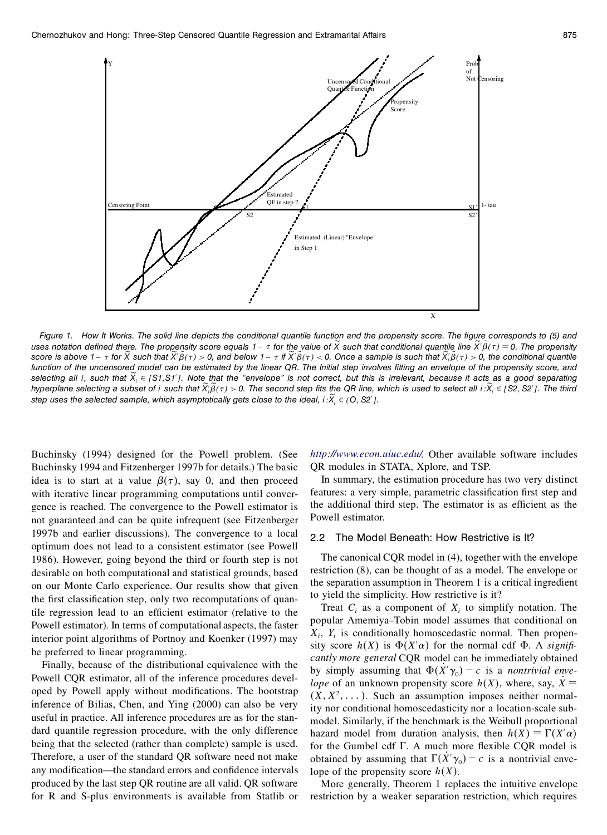

Figure 1. How It Works. The solid line depicts the conditional quantile function and the propensity score. The figure corresponds to (5) and uses notation defined there. The propensity score equals 1-  $\tau$  for the value of X such that conditional quantile line X' $\beta(\tau)$  = 0. The propensity score is above 1 –  $\tau$  for X such that X' $\beta(\tau)>$  0, and below 1 –  $\tau$  if X' $\beta(\tau)<$  0. Once a sample is such that X¦ $\beta(\tau)>$  0, the conditional quantile function of the uncensored model can be estimated by the linear QR. The Initial step involves fitting an envelope of the propensity score, and selecting all i, such that X<sub>i</sub> ∈ [S1,S1′]. Note that the "envelope" is not correct, but this is irrelevant, because it acts as a good separating hyperplane selecting a subset of i such that X¦β(τ) > 0. The second step fits the QR line, which is used to select all i:X<sub>i</sub> ∈ [S2, S2′]. The third step uses the selected sample, which asymptotically gets close to the ideal, i : $X_i \in (O, S2']$ .

Buchinsky (1994) designed for the Powell problem. (See Buchinsky 1994 and Fitzenberger 1997b for details.) The basic idea is to start at a value  $\beta(\tau)$ , say 0, and then proceed with iterative linear programming computations until convergence is reached. The convergence to the Powell estimator is not guaranteed and can be quite infrequent (see Fitzenberger 1997b and earlier discussions). The convergence to a local optimum does not lead to a consistent estimator (see Powell 1986). However, going beyond the third or fourth step is not desirable on both computational and statistical grounds, based on our Monte Carlo experience. Our results show that given the first classification step, only two recomputations of quantile regression lead to an efficient estimator (relative to the Powell estimator). In terms of computational aspects, the faster interior point algorithms of Portnoy and Koenker (1997) may be preferred to linear programming.

Finally, because of the distributional equivalence with the Powell CQR estimator, all of the inference procedures developed by Powell apply without modifications. The bootstrap inference of Bilias, Chen, and Ying (2000) can also be very useful in practice. All inference procedures are as for the standard quantile regression procedure, with the only difference being that the selected (rather than complete) sample is used. Therefore, a user of the standard QR software need not make any modification—the standard errors and confidence intervals produced by the last step QR routine are all valid. QR software for R and S-plus environments is available from Statlib or

*<http://www.econ.uiuc.edu/>*. Other available software includes QR modules in STATA, Xplore, and TSP.

In summary, the estimation procedure has two very distinct features: a very simple, parametric classification first step and the additional third step. The estimator is as efficient as the Powell estimator.

#### 2.2 The Model Beneath: How Restrictive is It?

The canonical CQR model in (4), together with the envelope restriction (8), can be thought of as a model. The envelope or the separation assumption in Theorem 1 is a critical ingredient to yield the simplicity. How restrictive is it?

Treat  $C_i$  as a component of  $X_i$  to simplify notation. The popular Amemiya–Tobin model assumes that conditional on  $X_i$ ,  $Y_i$  is conditionally homoscedastic normal. Then propensity score  $h(X)$  is  $\Phi(X'\alpha)$  for the normal cdf  $\Phi$ . A *significantly more general* CQR model can be immediately obtained by simply assuming that  $\Phi(X' \gamma_0) - c$  is a *nontrivial envelope* of an unknown propensity score  $h(X)$ , where, say,  $X =$  $(X, X^2, \dots)$ . Such an assumption imposes neither normality nor conditional homoscedasticity nor a location-scale submodel. Similarly, if the benchmark is the Weibull proportional hazard model from duration analysis, then  $h(X) = \Gamma(X'\alpha)$ for the Gumbel cdf  $\Gamma$ . A much more flexible CQR model is obtained by assuming that  $\Gamma(X' \gamma_0) - c$  is a nontrivial envelope of the propensity score  $h(X)$ .

More generally, Theorem 1 replaces the intuitive envelope restriction by a weaker separation restriction, which requires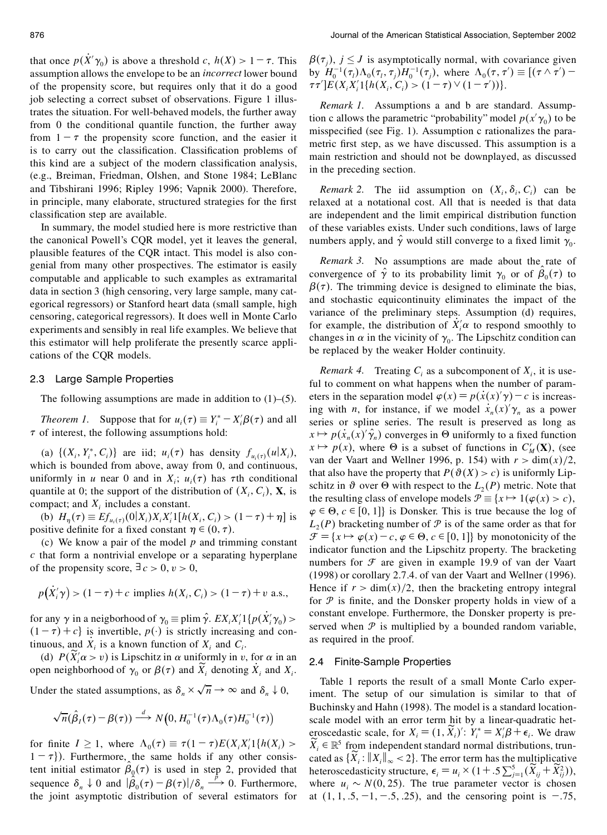that once  $p(\dot{X}'\gamma_0)$  is above a threshold *c*,  $h(X) > 1 - \tau$ . This assumption allows the envelope to be an *incorrect* lower bound of the propensity score, but requires only that it do a good job selecting a correct subset of observations. Figure 1 illustrates the situation. For well-behaved models, the further away from 0 the conditional quantile function, the further away from  $1 - \tau$  the propensity score function, and the easier it is to carry out the classification. Classification problems of this kind are a subject of the modern classification analysis. (e.g., Breiman, Friedman, Olshen, and Stone 1984; LeBlanc and Tibshirani 1996; Ripley 1996; Vapnik 2000). Therefore, in principle, many elaborate, structured strategies for the first classification step are available.

In summary, the model studied here is more restrictive than the canonical Powell's CQR model, yet it leaves the general, plausible features of the CQR intact. This model is also congenial from many other prospectives. The estimator is easily computable and applicable to such examples as extramarital data in section 3 (high censoring, very large sample, many categorical regressors) or Stanford heart data (small sample, high censoring, categorical regressors). It does well in Monte Carlo experiments and sensibly in real life examples. We believe that this estimator will help proliferate the presently scarce applications of the CQR models.

# 2.3 Large Sample Properties

The following assumptions are made in addition to  $(1)$ – $(5)$ .

*Theorem 1.* Suppose that for  $u_i(\tau) \equiv Y_i^* - X_i'\beta(\tau)$  and all *'* of interest, the following assumptions hold:

(a)  $\{(X_i, Y_i^*, C_i)\}\$  are iid;  $u_i(\tau)$  has density  $f_{u_i(\tau)}(u|X_i)$ , which is bounded from above, away from 0, and continuous, uniformly in *u* near 0 and in  $X_i$ ;  $u_i(\tau)$  has  $\tau$ th conditional quantile at 0; the support of the distribution of  $(X_i, C_i)$ , **X**, is compact; and *X<sup>i</sup>* includes a constant.

(b)  $H_{\eta}(\tau) \equiv Ef_{u_i(\tau)}(0|X_i)X_iX_i'1[h(X_i, C_i) > (1 - \tau) + \eta]$  is positive definite for a fixed constant  $\eta \in (0, \tau)$ .

(c) We know a pair of the model *p* and trimming constant *c* that form a nontrivial envelope or a separating hyperplane of the propensity score,  $\exists c > 0, v > 0$ ,

$$
p(\dot{X}_i' \gamma) > (1 - \tau) + c \text{ implies } h(X_i, C_i) > (1 - \tau) + v \text{ a.s.},
$$

for any  $\gamma$  in a neigborhood of  $\gamma_0 \equiv \text{plim } \hat{\gamma}$ .  $EX_i X_i' 1 \{p(X_i' \gamma_0) > 0\}$  $(1 - \tau) + c$  is invertible,  $p(\cdot)$  is strictly increasing and continuous, and  $X_i$  is a known function of  $X_i$  and  $C_i$ .

(d)  $P(X'_i \alpha > v)$  is Lipschitz in  $\alpha$  uniformly in *v*, for  $\alpha$  in an open neighborhood of  $\gamma_0$  or  $\beta(\tau)$  and  $X_i$  denoting  $X_i$  and  $X_i$ .

Under the stated assumptions, as  $\delta_n \times \sqrt{n} \to \infty$  and  $\delta_n \downarrow 0$ ,

$$
\sqrt{n}(\hat{\beta}_I(\tau)-\beta(\tau)) \stackrel{d}{\longrightarrow} N\big(0,H_0^{-1}(\tau)\Lambda_0(\tau)H_0^{-1}(\tau)\big)
$$

for finite  $I \ge 1$ , where  $\Lambda_0(\tau) \equiv \tau(1-\tau)E(X_iX_i'1\{h(X_i) > \tilde{X}_i\})$  $1 - \tau$ ). Furthermore, the same holds if any other consistent initial estimator  $\beta_0(\tau)$  is used in step 2, provided that sequence  $\delta_n \downarrow 0$  and  $|\overset{\circ}{\beta}_0(\tau) - \beta(\tau)|/\delta_n \stackrel{\hat{p}}{\longrightarrow} 0$ . Furthermore, the joint asymptotic distribution of several estimators for

 $\beta(\tau_i)$ ,  $j \leq J$  is asymptotically normal, with covariance given by  $H_0^{-1}(\tau_1) \Lambda_0(\tau_1, \tau_1) H_0^{-1}(\tau_1)$ , where  $\Lambda_0(\tau, \tau') \equiv [(\tau \wedge \tau') \tau \tau'$ <sup>*[E*</sup>(*X<sub>i</sub>X*<sup>*'*</sup><sub>*i*</sub><sup>1</sup>{*h*(*X<sub>i</sub>, C<sub>i</sub>) > (1 –*  $\tau$ *)*  $\vee$  *(1 –*  $\tau'$ *))}.* 

*Remark 1.* Assumptions a and b are standard. Assumption c allows the parametric "probability" model  $p(x'\gamma_0)$  to be misspecified (see Fig. 1). Assumption c rationalizes the parametric first step, as we have discussed. This assumption is a main restriction and should not be downplayed, as discussed in the preceding section.

*Remark* 2. The iid assumption on  $(X_i, \delta_i, C_i)$  can be relaxed at a notational cost. All that is needed is that data are independent and the limit empirical distribution function of these variables exists. Under such conditions, laws of large numbers apply, and  $\hat{\gamma}$  would still converge to a fixed limit  $\gamma_0$ .

*Remark 3.* No assumptions are made about the rate of convergence of  $\hat{\gamma}$  to its probability limit  $\gamma_0$  or of  $\beta_0(\tau)$  to  $\beta(\tau)$ . The trimming device is designed to eliminate the bias, and stochastic equicontinuity eliminates the impact of the variance of the preliminary steps. Assumption (d) requires, for example, the distribution of  $X_i' \alpha$  to respond smoothly to changes in  $\alpha$  in the vicinity of  $\gamma_0$ . The Lipschitz condition can be replaced by the weaker Holder continuity.

*Remark* 4. Treating  $C_i$  as a subcomponent of  $X_i$ , it is useful to comment on what happens when the number of parameters in the separation model  $\varphi(x) = p(x(x)/\gamma) - c$  is increasing with *n*, for instance, if we model  $\dot{x}_n(x)$ <sup> $\gamma$ <sub>n</sub> as a power</sup> series or spline series. The result is preserved as long as  $x \mapsto p(\dot{x}_n(x)'\hat{\gamma}_n)$  converges in  $\Theta$  uniformly to a fixed function  $x \mapsto p(x)$ , where  $\Theta$  is a subset of functions in  $C_M^r(\mathbf{X})$ , (see van der Vaart and Wellner 1996, p. 154) with  $r > \dim(x)/2$ , that also have the property that  $P(\vartheta(X) > c)$  is uniformly Lipschitz in  $\vartheta$  over  $\Theta$  with respect to the  $L_2(P)$  metric. Note that the resulting class of envelope models  $\mathcal{P} \equiv \{x \mapsto 1(\varphi(x) > c),$  $\varphi \in \Theta$ ,  $c \in [0, 1]$  is Donsker. This is true because the log of  $L_2(P)$  bracketing number of  $P$  is of the same order as that for  $\mathcal{F} = \{x \mapsto \varphi(x) - c, \varphi \in \Theta, c \in [0, 1]\}$  by monotonicity of the indicator function and the Lipschitz property. The bracketing numbers for  $f$  are given in example 19.9 of van der Vaart (1998) or corollary 2.7.4. of van der Vaart and Wellner (1996). Hence if  $r > \dim(x)/2$ , then the bracketing entropy integral for  $P$  is finite, and the Donsker property holds in view of a constant envelope. Furthermore, the Donsker property is preserved when  $P$  is multiplied by a bounded random variable, as required in the proof.

#### 2.4 Finite-Sample Properties

Table 1 reports the result of a small Monte Carlo experiment. The setup of our simulation is similar to that of Buchinsky and Hahn (1998). The model is a standard locationscale model with an error term hit by a linear-quadratic heteroscedastic scale, for  $X_i = (1, X_i)'$ :  $Y_i^* = X_i'B + \epsilon_i$ . We draw  $\widetilde{X}_i \in \mathbb{R}^5$  from independent standard normal distributions, truncated as  $\{\widetilde{X}_i : ||X_i||_{\infty} < 2\}$ . The error term has the multiplicative heteroscedasticity structure,  $\epsilon_i = u_i \times (1 + .5 \sum_{j=1}^5 (\widetilde{X}_{ij} + \widetilde{X}_{ij}^2))$ , where  $u_i \sim N(0, 25)$ . The true parameter vector is chosen at  $(1, 1, 0.5, -1, -0.5, 0.25)$ , and the censoring point is  $-0.75$ ,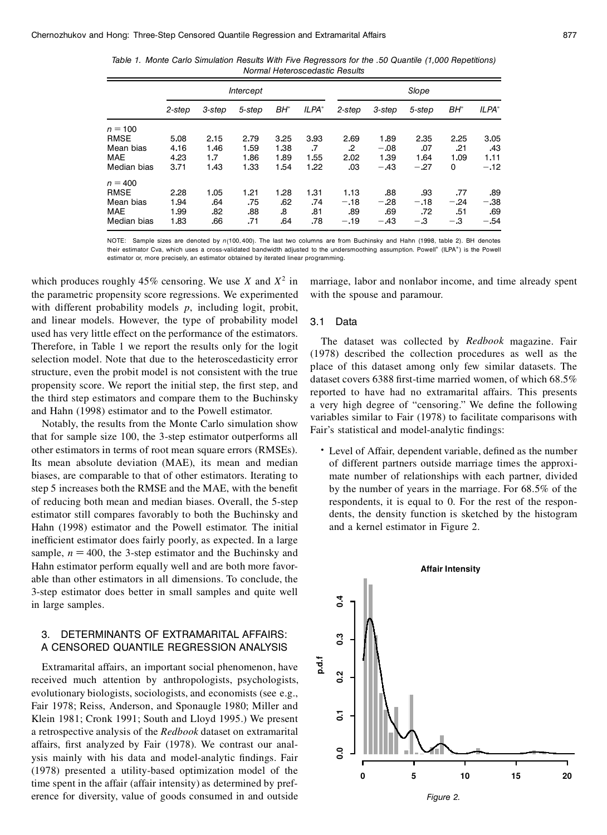| Normal Heteroscedastic Results |           |        |        |        |                   |         |        |        |        |         |
|--------------------------------|-----------|--------|--------|--------|-------------------|---------|--------|--------|--------|---------|
|                                | Intercept |        |        |        |                   | Slope   |        |        |        |         |
|                                | 2-step    | 3-step | 5-step | $BH^*$ | ILPA <sup>*</sup> | 2-step  | 3-step | 5-step | $BH^*$ | $ILPA*$ |
| $n = 100$                      |           |        |        |        |                   |         |        |        |        |         |
| <b>RMSE</b>                    | 5.08      | 2.15   | 2.79   | 3.25   | 3.93              | 2.69    | 1.89   | 2.35   | 2.25   | 3.05    |
| Mean bias                      | 4.16      | 1.46   | 1.59   | 1.38   | $\cdot$ 7         | $\cdot$ | $-.08$ | .07    | .21    | .43     |
| <b>MAE</b>                     | 4.23      | 1.7    | 1.86   | 1.89   | 1.55              | 2.02    | 1.39   | 1.64   | 1.09   | 1.11    |
| Median bias                    | 3.71      | 1.43   | 1.33   | 1.54   | 1.22              | .03     | $-.43$ | $-.27$ | 0      | $-.12$  |
| $n = 400$                      |           |        |        |        |                   |         |        |        |        |         |
| <b>RMSE</b>                    | 2.28      | 1.05   | 1.21   | 1.28   | 1.31              | 1.13    | .88    | .93    | .77    | .89     |
| Mean bias                      | 1.94      | .64    | .75    | .62    | .74               | $-.18$  | $-.28$ | $-.18$ | $-.24$ | $-.38$  |
| <b>MAE</b>                     | 1.99      | .82    | .88    | .8     | .81               | .89     | .69    | .72    | .51    | .69     |
| Median bias                    | 1.83      | .66    | .71    | .64    | .78               | $-.19$  | $-.43$ | $-.3$  | $-.3$  | $-.54$  |

*Table 1. Monte Carlo Simulation Results With Five Regressors for the .50 Quantile (1,000 Repetitions) Normal Heteroscedastic Results*

NOTE: Sample sizes are denoted by *n*(100*1*400). The last two columns are from Buchinsky and Hahn (1998, table 2). BH denotes their estimator Cva, which uses a cross-validated bandwidth adjusted to the undersmoothing assumption. Powell<sup>\*</sup> (ILPA<sup>\*</sup>) is the Powell estimator or, more precisely, an estimator obtained by iterated linear programming.

which produces roughly 45% censoring. We use *X* and  $X^2$  in n the parametric propensity score regressions. We experimented with different probability models *p*, including logit, probit, and linear models. However, the type of probability model used has very little effect on the performance of the estimators. Therefore, in Table 1 we report the results only for the logit selection model. Note that due to the heteroscedasticity error structure, even the probit model is not consistent with the true propensity score. We report the initial step, the first step, and the third step estimators and compare them to the Buchinsky and Hahn (1998) estimator and to the Powell estimator.

Notably, the results from the Monte Carlo simulation show that for sample size 100, the 3-step estimator outperforms all other estimators in terms of root mean square errors (RMSEs). Its mean absolute deviation (MAE), its mean and median biases, are comparable to that of other estimators. Iterating to step 5 increases both the RMSE and the MAE, with the benefit of reducing both mean and median biases. Overall, the 5-step estimator still compares favorably to both the Buchinsky and Hahn (1998) estimator and the Powell estimator. The initial inefficient estimator does fairly poorly, as expected. In a large sample,  $n = 400$ , the 3-step estimator and the Buchinsky and Hahn estimator perform equally well and are both more favorable than other estimators in all dimensions. To conclude, the 3-step estimator does better in small samples and quite well in large samples.

# 3. DETERMINANTS OF EXTRAMARITAL AFFAIRS: A CENSORED QUANTILE REGRESSION ANALYSIS

Extramarital affairs, an important social phenomenon, have received much attention by anthropologists, psychologists, evolutionary biologists, sociologists, and economists (see e.g., Fair 1978; Reiss, Anderson, and Sponaugle 1980; Miller and Klein 1981; Cronk 1991; South and Lloyd 1995.) We present a retrospective analysis of the *Redbook* dataset on extramarital affairs, first analyzed by Fair (1978). We contrast our analysis mainly with his data and model-analytic findings. Fair (1978) presented a utility-based optimization model of the time spent in the affair (affair intensity) as determined by preference for diversity, value of goods consumed in and outside

marriage, labor and nonlabor income, and time already spent with the spouse and paramour.

# 3.1 Data

The dataset was collected by *Redbook* magazine. Fair (1978) described the collection procedures as well as the place of this dataset among only few similar datasets. The dataset covers 6388 first-time married women, of which  $68.5\%$ reported to have had no extramarital affairs. This presents a very high degree of "censoring." We define the following variables similar to Fair (1978) to facilitate comparisons with Fair's statistical and model-analytic findings:

• Level of Affair, dependent variable, defined as the number of different partners outside marriage times the approximate number of relationships with each partner, divided by the number of years in the marriage. For 68.5% of the respondents, it is equal to 0. For the rest of the respondents, the density function is sketched by the histogram and a kernel estimator in Figure 2.

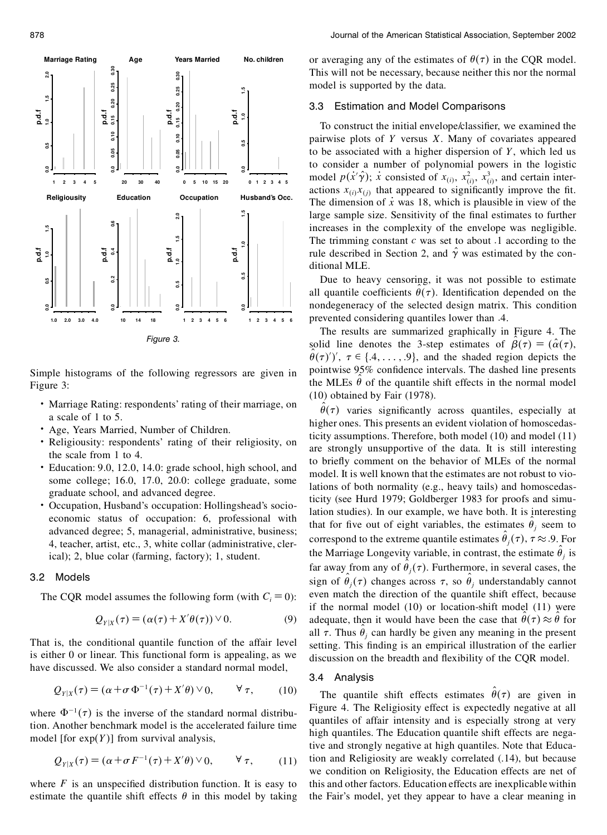

Simple histograms of the following regressors are given in Figure 3:

- ¡ Marriage Rating: respondents' rating of their marriage, on a scale of 1 to 5.
- ¡ Age, Years Married, Number of Children.
- ¡ Religiousity: respondents' rating of their religiosity, on the scale from 1 to 4.
- ¡ Education: 9*0*0, 12*0*0, 14*0*0: grade school, high school, and some college; 16.0, 17.0, 20.0: college graduate, some graduate school, and advanced degree.
- ¡ Occupation, Husband's occupation: Hollingshead's socioeconomic status of occupation: 6, professional with advanced degree; 5, managerial, administrative, business; 4, teacher, artist, etc., 3, white collar (administrative, clerical); 2, blue colar (farming, factory); 1, student.

#### 3.2 Models

The CQR model assumes the following form (with  $C_i = 0$ ):

$$
Q_{Y|X}(\tau) = (\alpha(\tau) + X'\theta(\tau)) \vee 0. \tag{9}
$$

That is, the conditional quantile function of the affair level is either 0 or linear. This functional form is appealing, as we have discussed. We also consider a standard normal model,

$$
Q_{Y|X}(\tau) = (\alpha + \sigma \Phi^{-1}(\tau) + X'\theta) \vee 0, \qquad \forall \tau, \qquad (10)
$$

where  $\Phi^{-1}(\tau)$  is the inverse of the standard normal distribution. Another benchmark model is the accelerated failure time model [for  $exp(Y)$ ] from survival analysis,

$$
Q_{Y|X}(\tau) = (\alpha + \sigma F^{-1}(\tau) + X'\theta) \vee 0, \qquad \forall \tau, \qquad (11)
$$

where  $F$  is an unspecified distribution function. It is easy to estimate the quantile shift effects  $\theta$  in this model by taking or averaging any of the estimates of  $\theta(\tau)$  in the CQR model. This will not be necessary, because neither this nor the normal model is supported by the data.

# 3.3 Estimation and Model Comparisons

To construct the initial envelope/classifier, we examined the pairwise plots of *Y* versus *X*. Many of covariates appeared to be associated with a higher dispersion of *Y* , which led us to consider a number of polynomial powers in the logistic model  $p(x'\hat{\gamma})$ ; *x* consisted of  $x_{(i)}$ ,  $x_{(i)}^2$ ,  $x_{(i)}^3$ , and certain interactions  $x_{(i)}x_{(j)}$  that appeared to significantly improve the fit. The dimension of  $\dot{x}$  was 18, which is plausible in view of the large sample size. Sensitivity of the final estimates to further increases in the complexity of the envelope was negligible. The trimming constant  $c$  was set to about  $\overline{0}$  according to the rule described in Section 2, and  $\hat{\gamma}$  was estimated by the conditional MLE.

Due to heavy censoring, it was not possible to estimate all quantile coefficients  $\theta(\tau)$ . Identification depended on the nondegeneracy of the selected design matrix. This condition prevented considering quantiles lower than  $.4$ .

The results are summarized graphically in Figure 4. The solid line denotes the 3-step estimates of  $\beta(\tau) = (\hat{\alpha}(\tau), \hat{\theta}(\tau)')'$ ,  $\tau \in \{4, \dots, 9\}$ , and the shaded region depicts the pointwise 95% confidence intervals. The dashed line presents the MLEs  $\theta$  of the quantile shift effects in the normal model (10) obtained by Fair (1978).

 $\theta(\tau)$  varies significantly across quantiles, especially at higher ones. This presents an evident violation of homoscedasticity assumptions. Therefore, both model (10) and model (11) are strongly unsupportive of the data. It is still interesting to briefly comment on the behavior of MLEs of the normal model. It is well known that the estimates are not robust to violations of both normality (e.g., heavy tails) and homoscedasticity (see Hurd 1979; Goldberger 1983 for proofs and simulation studies). In our example, we have both. It is interesting that for five out of eight variables, the estimates  $\theta_i$  seem to correspond to the extreme quantile estimates  $\theta_j(\tau)$ ,  $\tau \approx .9$ . For the Marriage Longevity variable, in contrast, the estimate  $\theta_j$  is far away from any of  $\theta_i(\tau)$ . Furthermore, in several cases, the sign of  $\hat{\theta}_i(\tau)$  changes across  $\tau$ , so  $\hat{\theta}_i$  understandably cannot even match the direction of the quantile shift effect, because if the normal model (10) or location-shift model (11) were adequate, then it would have been the case that  $\theta(\tau) \approx \theta$  for all  $\tau$ . Thus  $\theta_i$  can hardly be given any meaning in the present setting. This finding is an empirical illustration of the earlier discussion on the breadth and flexibility of the CQR model.

## 3.4 Analysis

The quantile shift effects estimates  $\theta(\tau)$  are given in Figure 4. The Religiosity effect is expectedly negative at all quantiles of affair intensity and is especially strong at very high quantiles. The Education quantile shift effects are negative and strongly negative at high quantiles. Note that Education and Religiosity are weakly correlated (.14), but because we condition on Religiosity, the Education effects are net of this and other factors. Education effects are inexplicablewithin the Fair's model, yet they appear to have a clear meaning in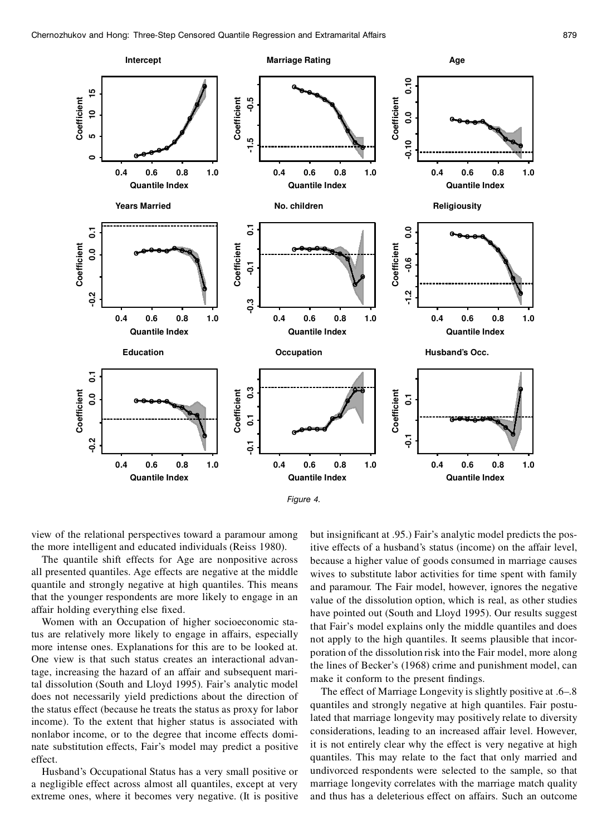

*Figure 4.*

view of the relational perspectives toward a paramour among the more intelligent and educated individuals (Reiss 1980).

The quantile shift effects for Age are nonpositive across all presented quantiles. Age effects are negative at the middle quantile and strongly negative at high quantiles. This means that the younger respondents are more likely to engage in an affair holding everything else fixed.

Women with an Occupation of higher socioeconomic status are relatively more likely to engage in affairs, especially more intense ones. Explanations for this are to be looked at. One view is that such status creates an interactional advantage, increasing the hazard of an affair and subsequent marital dissolution (South and Lloyd 1995). Fair's analytic model does not necessarily yield predictions about the direction of the status effect (because he treats the status as proxy for labor income). To the extent that higher status is associated with nonlabor income, or to the degree that income effects dominate substitution effects, Fair's model may predict a positive effect.

Husband's Occupational Status has a very small positive or a negligible effect across almost all quantiles, except at very extreme ones, where it becomes very negative. (It is positive but insignificant at .95.) Fair's analytic model predicts the positive effects of a husband's status (income) on the affair level, because a higher value of goods consumed in marriage causes wives to substitute labor activities for time spent with family and paramour. The Fair model, however, ignores the negative value of the dissolution option, which is real, as other studies have pointed out (South and Lloyd 1995). Our results suggest that Fair's model explains only the middle quantiles and does not apply to the high quantiles. It seems plausible that incorporation of the dissolution risk into the Fair model, more along the lines of Becker's (1968) crime and punishment model, can make it conform to the present findings.

The effect of Marriage Longevity is slightly positive at .6–.8 quantiles and strongly negative at high quantiles. Fair postulated that marriage longevity may positively relate to diversity considerations, leading to an increased affair level. However, it is not entirely clear why the effect is very negative at high quantiles. This may relate to the fact that only married and undivorced respondents were selected to the sample, so that marriage longevity correlates with the marriage match quality and thus has a deleterious effect on affairs. Such an outcome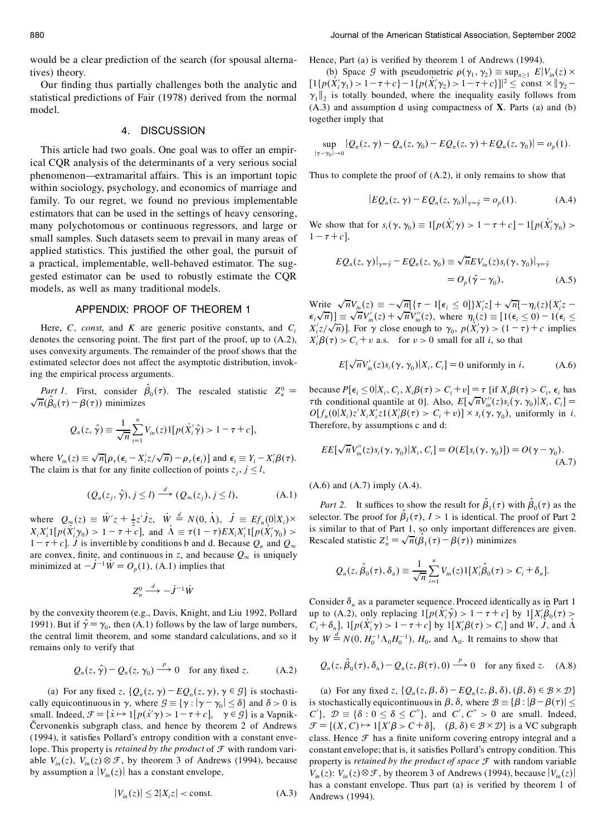would be a clear prediction of the search (for spousal alternatives) theory.

Our finding thus partially challenges both the analytic and statistical predictions of Fair (1978) derived from the normal model.

## 4. DISCUSSION

This article had two goals. One goal was to offer an empirical CQR analysis of the determinants of a very serious social phenomenon—extramarital affairs. This is an important topic within sociology, psychology, and economics of marriage and family. To our regret, we found no previous implementable estimators that can be used in the settings of heavy censoring, many polychotomous or continuous regressors, and large or small samples. Such datasets seem to prevail in many areas of applied statistics. This justified the other goal, the pursuit of a practical, implementable, well-behaved estimator. The suggested estimator can be used to robustly estimate the CQR models, as well as many traditional models.

#### APPENDIX: PROOF OF THEOREM 1

Here, *C*, *const*, and *K* are generic positive constants, and  $C_i$ denotes the censoring point. The first part of the proof, up to  $(A.2)$ , uses convexity arguments. The remainder of the proof shows that the estimated selector does not affect the asymptotic distribution, invoking the empirical process arguments.

*Part 1*. First, consider  $\hat{\beta}_0(\tau)$ . The rescaled statistic  $Z_n^0 =$  $\sqrt{n}(\beta_0(\tau)-\beta(\tau))$  minimizes

$$
Q_n(z,\hat{\gamma})\equiv \frac{1}{\sqrt{n}}\sum_{i=1}^n V_{in}(z)1[p(\dot{X}_i'\hat{\gamma})>1-\tau+c],
$$

where  $V_{in}(z) \equiv \sqrt{n} [\rho_{\tau}(\epsilon_{i} - X'_{i}z/\sqrt{n}) - \rho_{\tau}(\epsilon_{i})]$  and  $\epsilon_{i} \equiv Y_{i} - X'_{i}\beta(\tau)$ . The claim is that for any finite collection of points  $z_j$ ,  $j \leq l$ ,

$$
(Q_n(z_j, \hat{\gamma}), j \le l) \xrightarrow{d} (Q_\infty(z_j), j \le l), \tag{A.1}
$$

where  $Q_{\infty}(z) \equiv \dot{W}'z + \frac{1}{2}z'\dot{J}z$ ,  $\dot{W} \stackrel{d}{=} N(0, \dot{\Lambda})$ ,  $\dot{J} \equiv Ef_{\mu}(0|X_i) \times$ <br>  $X_iX_i'[1[p(\dot{X}_i'\gamma_0) > 1 - \tau + c]$ , and  $\dot{\Lambda} \equiv \tau(1-\tau)EX_iX_i'[1[p(\dot{X}_i'\gamma_0) >$  $\int_{0}^{t} 1[p(X'_{i}\gamma_{0}) > 1 - \tau + c],$  and  $\Lambda \equiv \tau(1-\tau)EX_{i}X'_{i}1[p(X'_{i}\gamma_{0}) > 1 - c]$  $1 - \tau + c$ ]. *J* is invertible by conditions b and d. Because  $Q_n$  and  $Q_\infty$ are convex, finite, and continuous in *z*, and because  $Q_{\infty}$  is uniquely minimized at  $-\dot{J}^{-1}\dot{W} = O_p(1)$ , (A.1) implies that

$$
Z_n^0 \stackrel{d}{\longrightarrow} -\dot{J}^{-1}\dot{W}
$$

by the convexity theorem (e.g., Davis, Knight, and Liu 1992, Pollard 1991). But if  $\hat{\gamma} = \gamma_0$ , then (A.1) follows by the law of large numbers, the central limit theorem, and some standard calculations, and so it remains only to verify that

$$
Q_n(z, \hat{\gamma}) - Q_n(z, \gamma_0) \xrightarrow{p} 0
$$
 for any fixed z. (A.2)

(a) For any fixed *z*,  $\{Q_n(z, \gamma) - EQ_n(z, \gamma), \gamma \in \mathcal{G}\}\)$  is stochastically equicontinuous in  $\gamma$ , where  $\mathcal{G} \equiv {\gamma : |\gamma - \gamma_0| \le \delta}$  and  $\delta > 0$  is small. Indeed,  $\mathcal{F} = \{ \dot{x} \mapsto 1[p(\dot{x}'\gamma) > 1 - \tau + c], \quad \gamma \in \mathcal{G} \}$  is a Vapnik-Cervonenkis subgraph class, and hence by theorem 2 of Andrews  $(1994)$ , it satisfies Pollard's entropy condition with a constant envelope. This property is *retained by the product* of  $\mathcal F$  with random variable  $V_{in}(z)$ ,  $V_{in}(z) \otimes \mathcal{F}$ , by theorem 3 of Andrews (1994), because by assumption a  $|V_{in}(z)|$  has a constant envelope,

$$
|V_{in}(z)| \le 2|X_iz| < \text{const.} \tag{A.3}
$$

Hence, Part (a) is verified by theorem 1 of Andrews  $(1994)$ .

(b) Space  $\mathcal{G}$  with pseudometric  $\rho(\gamma_1, \gamma_2) \equiv \sup_{n \geq 1} E|V_{in}(z) \times$  $[1\{p(X'_i\gamma_1) > 1 - \tau + c\} - 1\{p(X'_i\gamma_2) > 1 - \tau + c\}]^2 \le \text{const } \times \|\gamma_2 - \gamma\|$  $\gamma_1 \parallel_2$  is totally bounded, where the inequality easily follows from (A.3) and assumption d using compactness of **X**. Parts (a) and (b) together imply that

$$
\sup_{|\gamma-\gamma_0|\to 0} |Q_n(z,\gamma)-Q_n(z,\gamma_0)-EQ_n(z,\gamma)+EQ_n(z,\gamma_0)|=o_p(1).
$$

Thus to complete the proof of (A.2), it only remains to show that

$$
\left|EQ_n(z,\,\gamma) - EQ_n(z,\,\gamma_0)\right|_{\gamma=\hat{\gamma}} = o_p(1). \tag{A.4}
$$

We show that for  $s_i(\gamma, \gamma_0) \equiv 1[p(X_i' \gamma) > 1 - \tau + c] - 1[p(X_i' \gamma_0) >$  $1 - \tau + c$ .

$$
EQ_n(z, \gamma)|_{\gamma = \hat{\gamma}} - EQ_n(z, \gamma_0) \equiv \sqrt{n} EV_n(z) s_i(\gamma, \gamma_0)|_{\gamma = \hat{\gamma}}
$$
  
=  $O_p(\hat{\gamma} - \gamma_0),$  (A.5)

 $W$ rite  $\sqrt{n}V_{in}(z) \equiv -\sqrt{n}[\{\tau-1[\epsilon_i \leq 0]\}X'_{i}z] + \sqrt{n}[-\eta_i(z)\{X'_{i}z - \tau(i,j)\}]$  $\vec{e}_i \sqrt{n}$ ]  $\equiv \sqrt{n} V'_{in}(z) + \sqrt{n} V''_{in}(z)$ , where  $\eta_i(z) \equiv [1(\epsilon_i \leq 0) - 1(\epsilon_i \leq 0)]$  $X_i^j z / \sqrt{n}$ ]. For  $\gamma$  close enough to  $\gamma_0$ ,  $p(X_i^j \gamma) > (1 - \tau) + c$  implies  $X_i' \beta(\tau) > C_i + v$  a.s. for  $v > 0$  small for all *i*, so that

$$
E[\sqrt{n}V'_{in}(z)s_i(\gamma, \gamma_0)|X_i, C_i] = 0 \text{ uniformly in } i,
$$
 (A.6)

because  $P[\epsilon_i \leq 0 | X_i, C_i, X_i \beta(\tau) > C_i + v] = \tau$  [if  $X_i \beta(\tau) > C_i$ ,  $\epsilon_i$  has  $\overline{n}V_{in}''(z)s_i(\gamma, \gamma_0)|X_i, C_i] =$  $O[f_u(0|X_i)z'X_iX_i'z1(X_i'\beta(\tau) > C_i + v)] \times s_i(\gamma, \gamma_0)$ , uniformly in *i*. Therefore, by assumptions c and d:

$$
EE[\sqrt{n}V'_{in}(z)s_i(\gamma,\gamma_0)|X_i,C_i] = O(E[s_i(\gamma,\gamma_0)]) = O(\gamma - \gamma_0).
$$
\n(A.7)

(A.6) and (A.7) imply (A.4).

*Part* 2. It suffices to show the result for  $\beta_1(\tau)$  with  $\beta_0(\tau)$  as the selector. The proof for  $\beta_I(\tau)$ ,  $I > 1$  is identical. The proof of Part 2 is similar to that of Part 1, so only important differences are given. Rescaled statistic  $Z_n^1 = \sqrt{n}(\hat{\beta}_1(\tau) - \beta(\tau))$  minimizes

$$
Q_n(z, \hat{\beta}_0(\tau), \delta_n) \equiv \frac{1}{\sqrt{n}} \sum_{i=1}^n V_{in}(z) 1[X_i' \hat{\beta}_0(\tau) > C_i + \delta_n].
$$

Consider  $\delta_n$  as a parameter sequence. Proceed identically as in Part 1  $\text{up to } (A.2)$ , only replacing  $1[p(X_i' \hat{y}) > 1 - \tau + c]$  by  $1[X_i' \beta_0(\tau) > 1 - \tau + c]$  $C_i + \delta_n$ ,  $\left[ \int f(X_i \gamma) \right] > 1 - \tau + c$ , by  $\left[ \int f(X_i \beta(\tau)) \right] > C_i$ , and *W*, *J*, and  $\Lambda$ by  $W \stackrel{d}{=} N(0, H_0^{-1} \Lambda_0 H_0^{-1}), H_0$ , and  $\Lambda_0$ . It remains to show that

$$
Q_n(z, \hat{\beta}_0(\tau), \delta_n) - Q_n(z, \beta(\tau), 0) \xrightarrow{\rho} 0
$$
 for any fixed z. (A.8)

(a) For any fixed *z*,  $\{Q_n(z, \beta, \delta) - EQ_n(z, \beta, \delta), (\beta, \delta) \in \mathcal{B} \times \mathcal{D}\}\$ is stochastically equicontinuous in  $\beta$ ,  $\delta$ , where  $\mathcal{B} \equiv {\beta : |\beta - \beta(\tau)| \leq \delta}$  $C'$ ,  $\mathcal{D} \equiv \{\delta : 0 \leq \delta \leq C''\}$ , and  $C', C'' > 0$  are small. Indeed,  $\mathcal{F} = \{(X, C) \mapsto 1[X'\beta > C + \delta], \quad (\beta, \delta) \in \mathcal{B} \times \mathcal{D}\}\$ is a VC subgraph class. Hence  $\mathcal F$  has a finite uniform covering entropy integral and a constant envelope; that is, it satisfies Pollard's entropy condition. This property is *retained by the product of space*  $\mathcal F$  with random variable  $V_{in}(z)$ :  $V_{in}(z) \otimes \mathcal{F}$ , by theorem 3 of Andrews (1994), because  $|V_{in}(z)|$ has a constant envelope. Thus part (a) is verified by theorem 1 of Andrews (1994).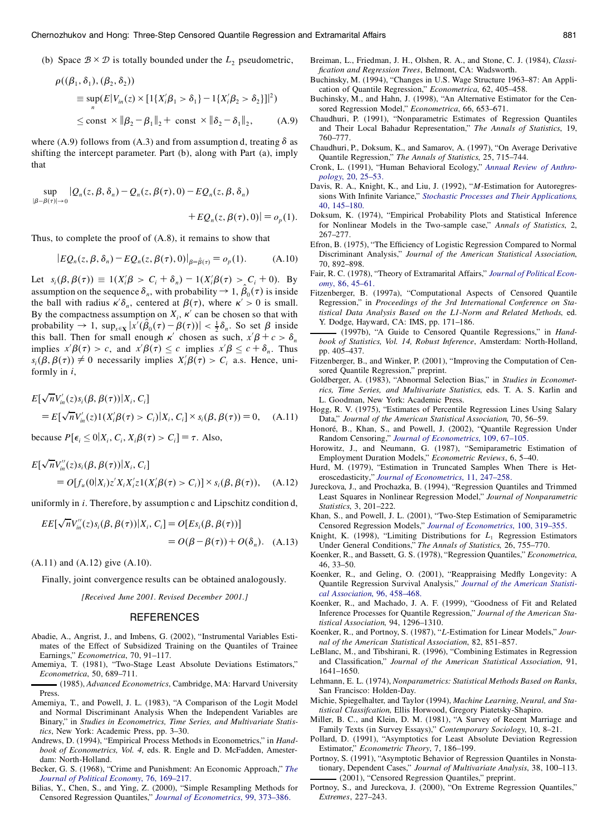(b) Space  $\mathcal{B} \times \mathcal{D}$  is totally bounded under the  $L_2$  pseudometric,

$$
\rho((\beta_1, \delta_1), (\beta_2, \delta_2))
$$
  
\n
$$
\equiv \sup_n (E|V_{in}(z) \times [1\{X'_i\beta_1 > \delta_1\} - 1\{X'_i\beta_2 > \delta_2\}]|^2)
$$
  
\n
$$
\le \text{const} \times \|\beta_2 - \beta_1\|_2 + \text{const} \times \|\delta_2 - \delta_1\|_2, \qquad (A.9)
$$

where (A.9) follows from (A.3) and from assumption d, treating  $\delta$  as shifting the intercept parameter. Part (b), along with Part (a), imply that

$$
\sup_{|\beta-\beta(\tau)|\to 0} |Q_n(z,\beta,\delta_n) - Q_n(z,\beta(\tau),0) - EQ_n(z,\beta,\delta_n) + EQ_n(z,\beta(\tau),0)| = o_p(1).
$$

Thus, to complete the proof of (A.8), it remains to show that

$$
|EQ_n(z, \beta, \delta_n) - EQ_n(z, \beta(\tau), 0)|_{\beta = \hat{\beta}(\tau)} = o_p(1). \tag{A.10}
$$

Let  $s_i(\beta, \beta(\tau)) \equiv 1(X_i'\beta > C_i + \delta_n) - 1(X_i'\beta(\tau) > C_i + 0)$ . By assumption on the sequence  $\delta_n$ , with probability  $\rightarrow 1$ ,  $\beta_0(\tau)$  is inside the ball with radius  $\kappa' \delta_n$ , centered at  $\beta(\tau)$ , where  $\kappa' > 0$  is small. By the compactness assumption on  $X_i$ ,  $\kappa'$  can be chosen so that with probability  $\rightarrow 1$ ,  $\sup_{x \in \mathbf{X}} |x'(\hat{\beta}_0(\tau) - \beta(\tau))| < \frac{1}{2}\delta_n$ . So set  $\beta$  inside this ball. Then for small enough  $\kappa'$  chosen as such,  $x'\beta + c > \delta_n$ implies  $x'\beta(\tau) > c$ , and  $x'\beta(\tau) \le c$  implies  $x'\beta \le c + \delta_n$ . Thus  $s_i(\beta, \beta(\tau)) \neq 0$  necessarily implies  $X_i'(\beta(\tau)) > C_i$  a.s. Hence, uniformly in *i*,

$$
E[\sqrt{n}V'_{in}(z)s_i(\beta, \beta(\tau))|X_i, C_i]
$$
  
=  $E[\sqrt{n}V'_{in}(z)1(X'_i\beta(\tau) > C_i)|X_i, C_i] \times s_i(\beta, \beta(\tau)) = 0,$  (A.11)

because  $P[\epsilon_i \leq 0 | X_i, C_i, X_i \beta(\tau) > C_i] = \tau$ . Also,

$$
E[\sqrt{n}V_{in}''(z)s_i(\beta,\beta(\tau))|X_i, C_i]
$$
  
=  $O[f_u(0|X_i)z'X_iX_i'z1(X_i'\beta(\tau) > C_i)] \times s_i(\beta,\beta(\tau)),$  (A.12)

uniformly in *i*.Therefore, by assumption c and Lipschitz condition d,

$$
EE[\sqrt{n}V'_{in}(z)s_i(\beta,\beta(\tau))|X_i, C_i] = O[Es_i(\beta,\beta(\tau))]
$$
  
=  $O(\beta - \beta(\tau)) + O(\delta_n)$ . (A.13)

(A.11) and (A.12) give (A.10).

Finally, joint convergence results can be obtained analogously.

*[Received June 2001. Revised December 2001.]*

#### **REFERENCES**

- Abadie, A., Angrist, J., and Imbens, G. (2002), "Instrumental Variables Estimates of the Effect of Subsidized Training on the Quantiles of Trainee Earnings," *Econometrica*, 70, 91–117.
- Amemiya, T. (1981), "Two-Stage Least Absolute Deviations Estimators," *Econometrica*, 50, 689–711.
- (1985), *Advanced Econometrics*, Cambridge, MA: Harvard University Press.
- Amemiya, T., and Powell, J. L. (1983), "A Comparison of the Logit Model and Normal Discriminant Analysis When the Independent Variables are Binary," in *Studies in Econometrics, Time Series, and Multivariate Statistics*, New York: Academic Press, pp. 3–30.
- Andrews, D. (1994), "Empirical Process Methods in Econometrics," in *Handbook of Econometrics, Vol. 4*, eds. R. Engle and D. McFadden, Amesterdam: North-Holland.
- Becker, G. S. (1968), "Crime and Punishment: An Economic Approach," *[The](http://www.catchword.com/rpsv/cgi-bin/linker?ini=isis&ext=a&reqidx=/0022-3808^28^2976L.169[aid=85459]) Journal of Political [Economy](http://www.catchword.com/rpsv/cgi-bin/linker?ini=isis&ext=a&reqidx=/0022-3808^28^2976L.169[aid=85459])*, 76, 169–217.
- Bilias, Y., Chen, S., and Ying, Z. (2000), "Simple Resampling Methods for Censored Regression Quantiles," *Journal of [Econometrics](http://www.catchword.com/rpsv/cgi-bin/linker?ini=isis&ext=a&reqidx=/0304-4076^28^2999L.373[aid=2999851])*, 99, 373–386.
- Breiman, L., Friedman, J. H., Olshen, R. A., and Stone, C. J. (1984), *Classi cation and Regression Trees*, Belmont, CA: Wadsworth.
- Buchinsky, M. (1994), "Changes in U.S. Wage Structure 1963–87: An Application of Quantile Regression," *Econometrica*, 62, 405–458.
- Buchinsky, M., and Hahn, J. (1998), "An Alternative Estimator for the Censored Regression Model," *Econometrica*, 66, 653–671.
- Chaudhuri, P. (1991), "Nonparametric Estimates of Regression Quantiles and Their Local Bahadur Representation," *The Annals of Statistics*, 19, 760–777.
- Chaudhuri, P., Doksum, K., and Samarov, A. (1997), "On Average Derivative Quantile Regression," *The Annals of Statistics*, 25, 715–744.
- Cronk, L. (1991), "Human Behavioral Ecology," *Annual Review of Anthro[pology](http://www.catchword.com/rpsv/cgi-bin/linker?ini=isis&ext=a&reqidx=/0084-6570^28^2920L.25[aid=2999854])*, 20, 25–53.
- Davis, R. A., Knight, K., and Liu, J. (1992), "*M*-Estimation for Autoregressions With In nite Variance," *Stochastic Processes and Their [Applications](http://www.catchword.com/rpsv/cgi-bin/linker?ini=isis&ext=a&reqidx=/0304-4149^28^2940L.145[aid=2999855])*, 40, [145–180.](http://www.catchword.com/rpsv/cgi-bin/linker?ini=isis&ext=a&reqidx=/0304-4149^28^2940L.145[aid=2999855])
- Doksum, K. (1974), "Empirical Probability Plots and Statistical Inference for Nonlinear Models in the Two-sample case," *Annals of Statistics*, 2, 267–277.
- Efron, B. (1975), "The Efficiency of Logistic Regression Compared to Normal Discriminant Analysis," *Journal of the American Statistical Association*, 70, 892–898.
- Fair, R. C. (1978), "Theory of Extramarital Affairs," *Journal of [Political](http://www.catchword.com/rpsv/cgi-bin/linker?ini=isis&ext=a&reqidx=/0022-3808^28^2986L.45[aid=352769]) Economy*, 86, [45–61.](http://www.catchword.com/rpsv/cgi-bin/linker?ini=isis&ext=a&reqidx=/0022-3808^28^2986L.45[aid=352769])
- Fitzenberger, B. (1997a), "Computational Aspects of Censored Quantile Regression," in *Proceedings of the 3rd International Conference on Statistical Data Analysis Based on the L1-Norm and Related Methods*, ed. Y. Dodge, Hayward, CA: IMS, pp. 171–186.
- (1997b), "A Guide to Censored Quantile Regressions," in *Handbook of Statistics, Vol. 14, Robust Inference*, Amsterdam: North-Holland, pp. 405–437.
- Fitzenberger, B., and Winker, P. (2001), "Improving the Computation of Censored Quantile Regression," preprint.
- Goldberger, A. (1983), "Abnormal Selection Bias," in *Studies in Econometrics, Time Series, and Multivariate Statistics*, eds. T. A. S. Karlin and L. Goodman, New York: Academic Press.
- Hogg, R. V. (1975), "Estimates of Percentile Regression Lines Using Salary Data," *Journal of the American Statistical Association*, 70, 56–59.
- Honoré, B., Khan, S., and Powell, J. (2002), "Quantile Regression Under Random Censoring," *Journal of [Econometrics](http://www.catchword.com/rpsv/cgi-bin/linker?ini=isis&ext=a&reqidx=/0304-4076^28^29109L.67[aid=2999858])*, 109, 67–105.
- Horowitz, J., and Neumann, G. (1987), "Semiparametric Estimation of Employment Duration Models," *Econometric Reviews*, 6, 5–40.
- Hurd, M. (1979), "Estimation in Truncated Samples When There is Heteroscedasticity," *Journal of [Econometrics](http://www.catchword.com/rpsv/cgi-bin/linker?ini=isis&ext=a&reqidx=/0304-4076^28^2911L.247[aid=366739])*, 11, 247–258.
- Jureckova, J., and Prochazka, B. (1994), "Regression Quantiles and Trimmed Least Squares in Nonlinear Regression Model," *Journal of Nonparametric Statistics*, 3, 201–222.
- Khan, S., and Powell, J. L. (2001), "Two-Step Estimation of Semiparametric Censored Regression Models," *Journal of [Econometrics](http://www.catchword.com/rpsv/cgi-bin/linker?ini=isis&ext=a&reqidx=/0304-4076^28^29100L.319[aid=2999861])*, 100, 319–355.
- Knight, K. (1998), "Limiting Distributions for *L*<sub>1</sub> Regression Estimators Under General Conditions," *The Annals of Statistics*, 26, 755–770.
- Koenker, R., and Bassett, G. S. (1978), "Regression Quantiles," *Econometrica*, 46, 33–50.
- Koenker, R., and Geling, O. (2001), "Reappraising Medfly Longevity: A Quantile Regression Survival Analysis," *Journal of the [American](http://www.catchword.com/rpsv/cgi-bin/linker?ini=isis&ext=a&reqidx=/0162-1459^28^2996L.458[aid=2999814]) Statistical [Association](http://www.catchword.com/rpsv/cgi-bin/linker?ini=isis&ext=a&reqidx=/0162-1459^28^2996L.458[aid=2999814])*, 96, 458–468.
- Koenker, R., and Machado, J. A. F. (1999), "Goodness of Fit and Related Inference Processes for Quantile Regression," *Journal of the American Statistical Association*, 94, 1296–1310.
- Koenker, R., and Portnoy, S. (1987), "*L*-Estimation for Linear Models," *Journal of the American Statistical Association*, 82, 851–857.
- LeBlanc, M., and Tibshirani, R. (1996), "Combining Estimates in Regression and Classification," *Journal of the American Statistical Association*, 91, 1641–1650.
- Lehmann, E. L. (1974), *Nonparametrics: Statistical Methods Based on Ranks*, San Francisco: Holden-Day.
- Michie, Spiegelhalter, and Taylor (1994), *Machine Learning, Neural, and Statistical Classifcation*, Ellis Horwood, Gregory Piatetsky-Shapiro.
- Miller, B. C., and Klein, D. M. (1981), "A Survey of Recent Marriage and Family Texts (in Survey Essays)," *Contemporary Sociology*, 10, 8–21.
- Pollard, D. (1991), "Asymptotics for Least Absolute Deviation Regression Estimator," *Econometric Theory*, 7, 186–199.
- Portnoy, S. (1991), "Asymptotic Behavior of Regression Quantiles in Nonstationary, Dependent Cases," *Journal of Multivariate Analysis*, 38, 100–113. (2001), "Censored Regression Quantiles," preprint.
- Portnoy, S., and Jureckova, J. (2000), "On Extreme Regression Quantiles," *Extremes*, 227–243.